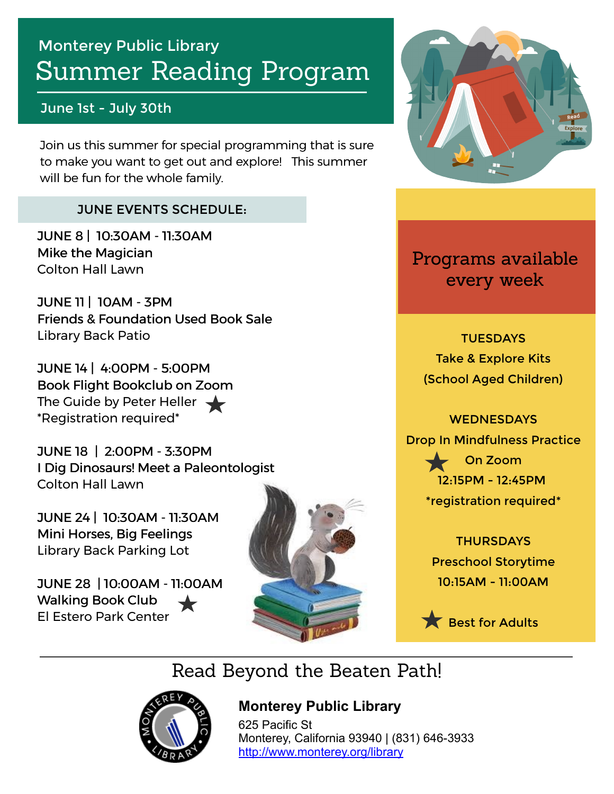# Summer Reading Program Monterey Public Library

#### June 1st - July 30th

Join us this summer for special programming that is sure to make you want to get out and explore! This summer will be fun for the whole family.

#### JUNE EVENTS SCHEDULE:

JUNE 8 | 10:30AM - 11:30AM Mike the Magician Colton Hall Lawn

JUNE 11 | 10AM - 3PM Friends & Foundation Used Book Sale Library Back Patio

JUNE 14 | 4:00PM - 5:00PM Book Flight Bookclub on Zoom The Guide by Peter Heller  $\blacktriangleleft$ \*Registration required\*

JUNE 18 | 2:00PM - 3:30PM 2:00PM - 3:30PM I Dig Dinosaurs! Meet a Paleontologist Colton Hall Lawn

JUNE 24 | 10:30AM - 11:30AM Mini Horses, Big Feelings Library Back Parking Lot

JUNE 28 | 10:00AM - 11:00AM Walking Book Club El Estero Park Center





Programs available every week

**TUESDAYS** Take & Explore Kits (School Aged Children)

**WEDNESDAYS** Drop In Mindfulness Practice On Zoom 12:15PM - 12:45PM \*registration required\*

> **THURSDAYS** Preschool Storytime 10:15AM - 11:00AM

Best for Adults

Read Beyond the Beaten Path!



### **[M](https://libraryaware.com/2JNCRJ)onterey Public Library**

[6](https://libraryaware.com/2JNCRJ)25 Pacific St Monterey, California 93940 | (831) 646-3933 [http://www.monterey.org/library](https://libraryaware.com/2JNCRJ)